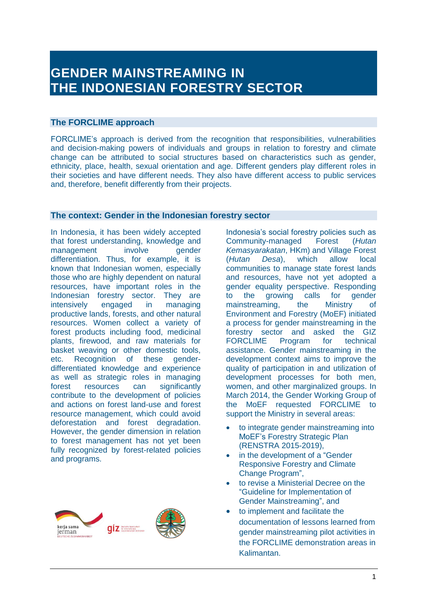# **GENDER MAINSTREAMING IN THE INDONESIAN FORESTRY SECTOR**

# **The FORCLIME approach**

FORCLIME's approach is derived from the recognition that responsibilities, vulnerabilities and decision-making powers of individuals and groups in relation to forestry and climate change can be attributed to social structures based on characteristics such as gender, ethnicity, place, health, sexual orientation and age. Different genders play different roles in their societies and have different needs. They also have different access to public services and, therefore, benefit differently from their projects.

## **The context: Gender in the Indonesian forestry sector**

In Indonesia, it has been widely accepted that forest understanding, knowledge and management involve gender differentiation. Thus, for example, it is known that Indonesian women, especially those who are highly dependent on natural resources, have important roles in the Indonesian forestry sector. They are intensively engaged in managing productive lands, forests, and other natural resources. Women collect a variety of forest products including food, medicinal plants, firewood, and raw materials for basket weaving or other domestic tools, etc. Recognition of these genderdifferentiated knowledge and experience as well as strategic roles in managing forest resources can significantly contribute to the development of policies and actions on forest land-use and forest resource management, which could avoid deforestation and forest degradation. However, the gender dimension in relation to forest management has not yet been fully recognized by forest-related policies and programs.



Indonesia's social forestry policies such as Community-managed Forest (*Hutan Kemasyarakatan*, HKm) and Village Forest (*Hutan Desa*), which allow local communities to manage state forest lands and resources, have not yet adopted a gender equality perspective. Responding to the growing calls for gender mainstreaming, the Ministry of Environment and Forestry (MoEF) initiated a process for gender mainstreaming in the forestry sector and asked the GIZ FORCLIME Program for technical assistance. Gender mainstreaming in the development context aims to improve the quality of participation in and utilization of development processes for both men, women, and other marginalized groups. In March 2014, the Gender Working Group of the MoEF requested FORCLIME to support the Ministry in several areas:

- to integrate gender mainstreaming into MoEF's Forestry Strategic Plan (RENSTRA 2015-2019),
- in the development of a "Gender Responsive Forestry and Climate Change Program",
- to revise a Ministerial Decree on the "Guideline for Implementation of Gender Mainstreaming", and
- to implement and facilitate the documentation of lessons learned from gender mainstreaming pilot activities in the FORCLIME demonstration areas in Kalimantan.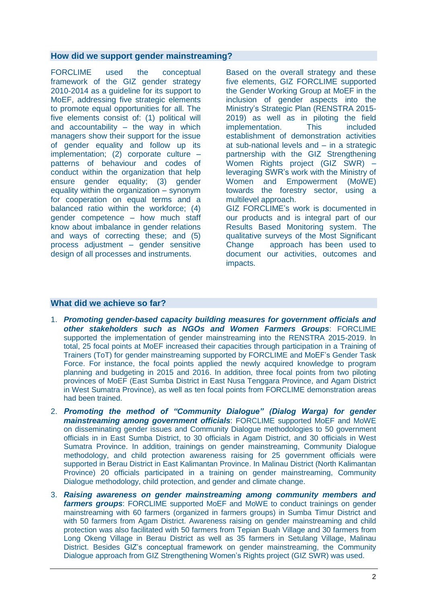#### **How did we support gender mainstreaming?**

FORCLIME used the conceptual framework of the GIZ gender strategy 2010-2014 as a guideline for its support to MoEF, addressing five strategic elements to promote equal opportunities for all. The five elements consist of: (1) political will and accountability  $-$  the way in which managers show their support for the issue of gender equality and follow up its implementation; (2) corporate culture – patterns of behaviour and codes of conduct within the organization that help ensure gender equality; (3) gender equality within the organization – synonym for cooperation on equal terms and a balanced ratio within the workforce; (4) gender competence – how much staff know about imbalance in gender relations and ways of correcting these; and (5) process adjustment – gender sensitive design of all processes and instruments.

Based on the overall strategy and these five elements, GIZ FORCLIME supported the Gender Working Group at MoEF in the inclusion of gender aspects into the Ministry's Strategic Plan (RENSTRA 2015- 2019) as well as in piloting the field implementation. This included establishment of demonstration activities at sub-national levels and – in a strategic partnership with the GIZ Strengthening Women Rights project (GIZ SWR) – leveraging SWR's work with the Ministry of Women and Empowerment (MoWE) towards the forestry sector, using a multilevel approach. GIZ FORCLIME's work is documented in our products and is integral part of our Results Based Monitoring system. The qualitative surveys of the Most Significant Change approach has been used to document our activities, outcomes and impacts.

# **What did we achieve so far?**

- 1. *Promoting gender-based capacity building measures for government officials and other stakeholders such as NGOs and Women Farmers Groups*: FORCLIME supported the implementation of gender mainstreaming into the RENSTRA 2015-2019. In total, 25 focal points at MoEF increased their capacities through participation in a Training of Trainers (ToT) for gender mainstreaming supported by FORCLIME and MoEF's Gender Task Force. For instance, the focal points applied the newly acquired knowledge to program planning and budgeting in 2015 and 2016. In addition, three focal points from two piloting provinces of MoEF (East Sumba District in East Nusa Tenggara Province, and Agam District in West Sumatra Province), as well as ten focal points from FORCLIME demonstration areas had been trained.
- 2. *Promoting the method of "Community Dialogue" (Dialog Warga) for gender mainstreaming among government officials*: FORCLIME supported MoEF and MoWE on disseminating gender issues and Community Dialogue methodologies to 50 government officials in in East Sumba District, to 30 officials in Agam District, and 30 officials in West Sumatra Province. In addition, trainings on gender mainstreaming, Community Dialogue methodology, and child protection awareness raising for 25 government officials were supported in Berau District in East Kalimantan Province. In Malinau District (North Kalimantan Province) 20 officials participated in a training on gender mainstreaming, Community Dialogue methodology, child protection, and gender and climate change.
- 3. *Raising awareness on gender mainstreaming among community members and farmers groups*: FORCLIME supported MoEF and MoWE to conduct trainings on gender mainstreaming with 60 farmers (organized in farmers groups) in Sumba Timur District and with 50 farmers from Agam District. Awareness raising on gender mainstreaming and child protection was also facilitated with 50 farmers from Tepian Buah Village and 30 farmers from Long Okeng Village in Berau District as well as 35 farmers in Setulang Village, Malinau District. Besides GIZ's conceptual framework on gender mainstreaming, the Community Dialogue approach from GIZ Strengthening Women's Rights project (GIZ SWR) was used.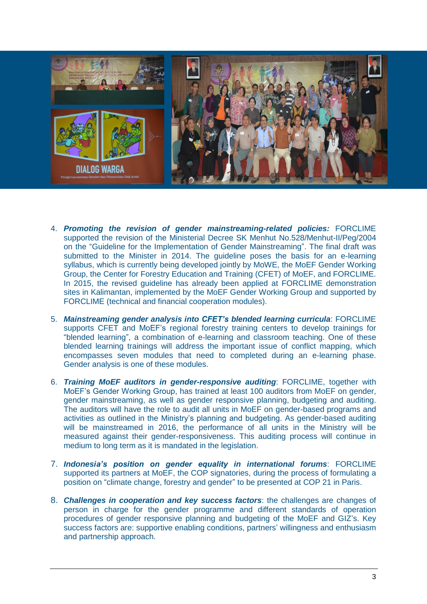

- 4. *Promoting the revision of gender mainstreaming-related policies:* FORCLIME supported the revision of the Ministerial Decree SK Menhut No.528/Menhut-II/Peg/2004 on the "Guideline for the Implementation of Gender Mainstreaming". The final draft was submitted to the Minister in 2014. The guideline poses the basis for an e-learning syllabus, which is currently being developed jointly by MoWE, the MoEF Gender Working Group, the Center for Forestry Education and Training (CFET) of MoEF, and FORCLIME. In 2015, the revised guideline has already been applied at FORCLIME demonstration sites in Kalimantan, implemented by the MoEF Gender Working Group and supported by FORCLIME (technical and financial cooperation modules).
- 5. *Mainstreaming gender analysis into CFET's blended learning curricula*: FORCLIME supports CFET and MoEF's regional forestry training centers to develop trainings for "blended learning", a combination of e-learning and classroom teaching. One of these blended learning trainings will address the important issue of conflict mapping, which encompasses seven modules that need to completed during an e-learning phase. Gender analysis is one of these modules.
- 6. *Training MoEF auditors in gender-responsive auditing*: FORCLIME, together with MoEF's Gender Working Group, has trained at least 100 auditors from MoEF on gender, gender mainstreaming, as well as gender responsive planning, budgeting and auditing. The auditors will have the role to audit all units in MoEF on gender-based programs and activities as outlined in the Ministry's planning and budgeting. As gender-based auditing will be mainstreamed in 2016, the performance of all units in the Ministry will be measured against their gender-responsiveness. This auditing process will continue in medium to long term as it is mandated in the legislation.
- 7. *Indonesia's position on gender equality in international forums*: FORCLIME supported its partners at MoEF, the COP signatories, during the process of formulating a position on "climate change, forestry and gender" to be presented at COP 21 in Paris.
- 8. *Challenges in cooperation and key success factors*: the challenges are changes of person in charge for the gender programme and different standards of operation procedures of gender responsive planning and budgeting of the MoEF and GIZ's. Key success factors are: supportive enabling conditions, partners' willingness and enthusiasm and partnership approach.